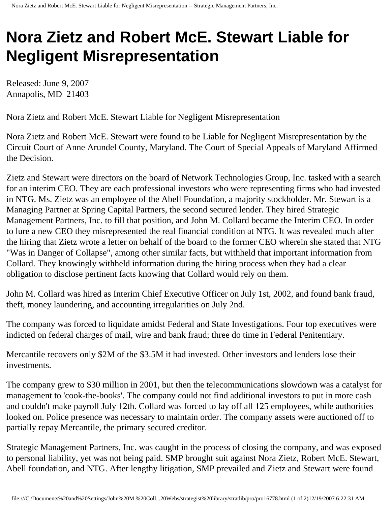## **Nora Zietz and Robert McE. Stewart Liable for Negligent Misrepresentation**

Released: June 9, 2007 Annapolis, MD 21403

Nora Zietz and Robert McE. Stewart Liable for Negligent Misrepresentation

Nora Zietz and Robert McE. Stewart were found to be Liable for Negligent Misrepresentation by the Circuit Court of Anne Arundel County, Maryland. The Court of Special Appeals of Maryland Affirmed the Decision.

Zietz and Stewart were directors on the board of Network Technologies Group, Inc. tasked with a search for an interim CEO. They are each professional investors who were representing firms who had invested in NTG. Ms. Zietz was an employee of the Abell Foundation, a majority stockholder. Mr. Stewart is a Managing Partner at Spring Capital Partners, the second secured lender. They hired Strategic Management Partners, Inc. to fill that position, and John M. Collard became the Interim CEO. In order to lure a new CEO they misrepresented the real financial condition at NTG. It was revealed much after the hiring that Zietz wrote a letter on behalf of the board to the former CEO wherein she stated that NTG "Was in Danger of Collapse", among other similar facts, but withheld that important information from Collard. They knowingly withheld information during the hiring process when they had a clear obligation to disclose pertinent facts knowing that Collard would rely on them.

John M. Collard was hired as Interim Chief Executive Officer on July 1st, 2002, and found bank fraud, theft, money laundering, and accounting irregularities on July 2nd.

The company was forced to liquidate amidst Federal and State Investigations. Four top executives were indicted on federal charges of mail, wire and bank fraud; three do time in Federal Penitentiary.

Mercantile recovers only \$2M of the \$3.5M it had invested. Other investors and lenders lose their investments.

The company grew to \$30 million in 2001, but then the telecommunications slowdown was a catalyst for management to 'cook-the-books'. The company could not find additional investors to put in more cash and couldn't make payroll July 12th. Collard was forced to lay off all 125 employees, while authorities looked on. Police presence was necessary to maintain order. The company assets were auctioned off to partially repay Mercantile, the primary secured creditor.

Strategic Management Partners, Inc. was caught in the process of closing the company, and was exposed to personal liability, yet was not being paid. SMP brought suit against Nora Zietz, Robert McE. Stewart, Abell foundation, and NTG. After lengthy litigation, SMP prevailed and Zietz and Stewart were found